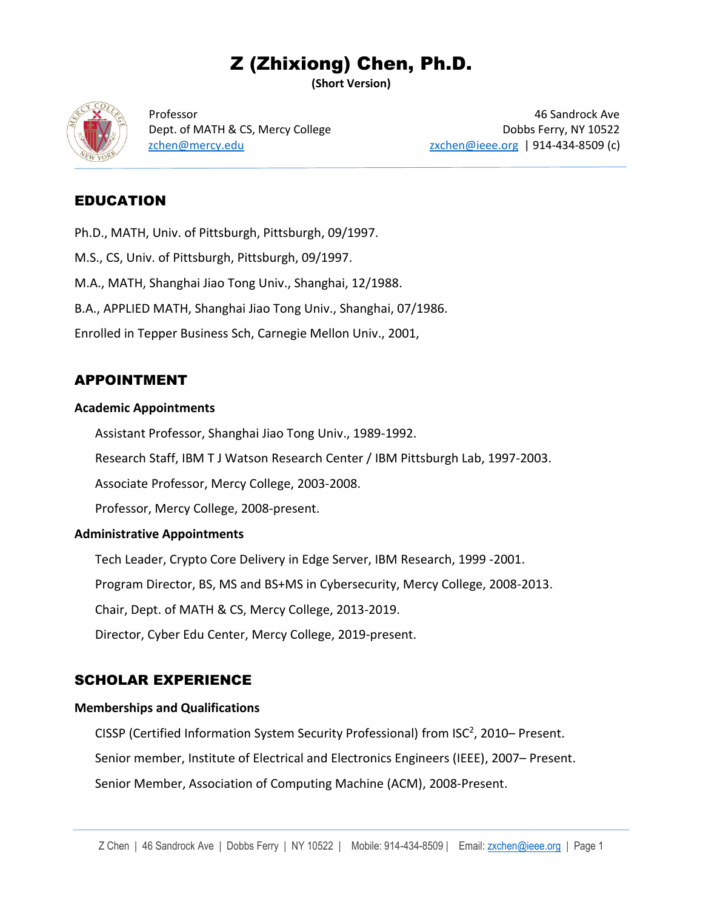# Z (Zhixiong) Chen, Ph.D.

**(Short Version)**



Professor 46 Sandrock Ave Dept. of MATH & CS, Mercy College Dobbs Ferry, NY 10522 [zchen@mercy.edu](mailto:zchen@mercy.edu) [zxchen@ieee.org](mailto:zxchen@ieee.org) | 914-434-8509 (c)

## EDUCATION

Ph.D., MATH, Univ. of Pittsburgh, Pittsburgh, 09/1997.

M.S., CS, Univ. of Pittsburgh, Pittsburgh, 09/1997.

M.A., MATH, Shanghai Jiao Tong Univ., Shanghai, 12/1988.

B.A., APPLIED MATH, Shanghai Jiao Tong Univ., Shanghai, 07/1986.

Enrolled in Tepper Business Sch, Carnegie Mellon Univ., 2001,

### APPOINTMENT

#### **Academic Appointments**

Assistant Professor, Shanghai Jiao Tong Univ., 1989-1992.

Research Staff, IBM T J Watson Research Center / IBM Pittsburgh Lab, 1997-2003.

Associate Professor, Mercy College, 2003-2008.

Professor, Mercy College, 2008-present.

#### **Administrative Appointments**

Tech Leader, Crypto Core Delivery in Edge Server, IBM Research, 1999 -2001.

Program Director, BS, MS and BS+MS in Cybersecurity, Mercy College, 2008-2013.

Chair, Dept. of MATH & CS, Mercy College, 2013-2019.

Director, Cyber Edu Center, Mercy College, 2019-present.

## SCHOLAR EXPERIENCE

#### **Memberships and Qualifications**

CISSP (Certified Information System Security Professional) from ISC<sup>2</sup>, 2010- Present. Senior member, Institute of Electrical and Electronics Engineers (IEEE), 2007– Present. Senior Member, Association of Computing Machine (ACM), 2008-Present.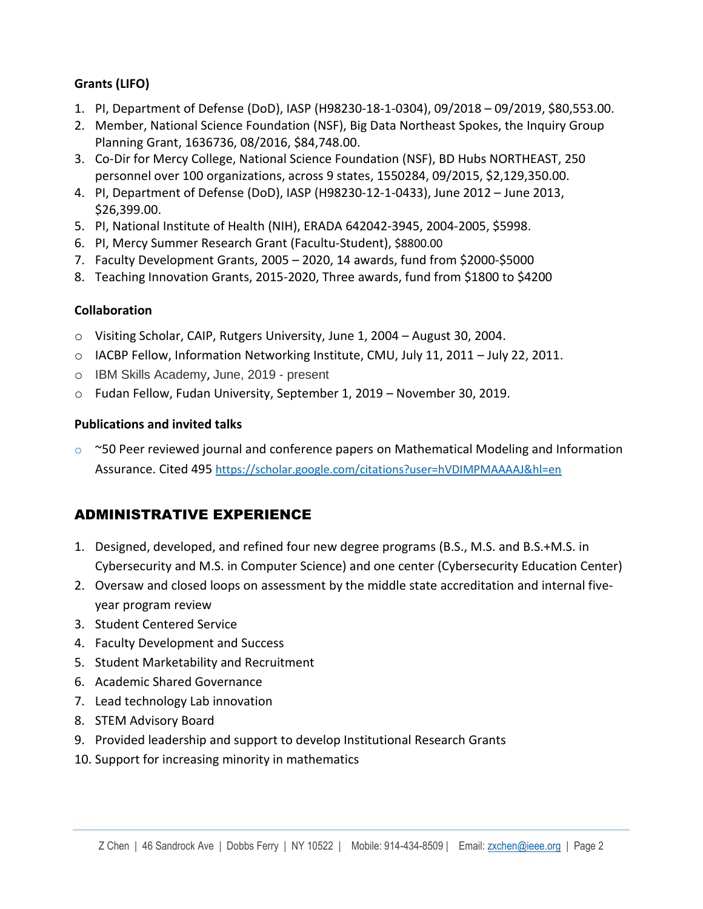#### **Grants (LIFO)**

- 1. PI, Department of Defense (DoD), IASP (H98230-18-1-0304), 09/2018 09/2019, \$80,553.00.
- 2. Member, National Science Foundation (NSF), Big Data Northeast Spokes, the Inquiry Group Planning Grant, 1636736, 08/2016, \$84,748.00.
- 3. Co-Dir for Mercy College, National Science Foundation (NSF), BD Hubs NORTHEAST, 250 personnel over 100 organizations, across 9 states, 1550284, 09/2015, \$2,129,350.00.
- 4. PI, Department of Defense (DoD), IASP (H98230-12-1-0433), June 2012 June 2013, \$26,399.00.
- 5. PI, National Institute of Health (NIH), ERADA 642042-3945, 2004-2005, \$5998.
- 6. PI, Mercy Summer Research Grant (Facultu-Student), \$8800.00
- 7. Faculty Development Grants, 2005 2020, 14 awards, fund from \$2000-\$5000
- 8. Teaching Innovation Grants, 2015-2020, Three awards, fund from \$1800 to \$4200

#### **Collaboration**

- o Visiting Scholar, CAIP, Rutgers University, June 1, 2004 August 30, 2004.
- o IACBP Fellow, Information Networking Institute, CMU, July 11, 2011 July 22, 2011.
- o IBM Skills Academy, June, 2019 present
- o Fudan Fellow, Fudan University, September 1, 2019 November 30, 2019.

### **Publications and invited talks**

 $\degree$  ~50 Peer reviewed journal and conference papers on Mathematical Modeling and Information Assurance. Cited 495 <https://scholar.google.com/citations?user=hVDIMPMAAAAJ&hl=en>

# ADMINISTRATIVE EXPERIENCE

- 1. Designed, developed, and refined four new degree programs (B.S., M.S. and B.S.+M.S. in Cybersecurity and M.S. in Computer Science) and one center (Cybersecurity Education Center)
- 2. Oversaw and closed loops on assessment by the middle state accreditation and internal fiveyear program review
- 3. Student Centered Service
- 4. Faculty Development and Success
- 5. Student Marketability and Recruitment
- 6. Academic Shared Governance
- 7. Lead technology Lab innovation
- 8. STEM Advisory Board
- 9. Provided leadership and support to develop Institutional Research Grants
- 10. Support for increasing minority in mathematics